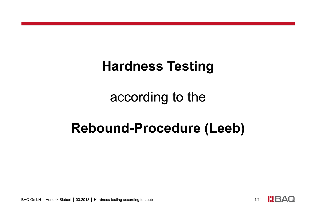## **Hardness Testing**

according to the

## **Rebound-Procedure (Leeb)**

BAQ GmbH | Hendrik Siebert | 03.2018 | Hardness testing according to Leeb │ 1/14 │ 1/14 │ 日AQ

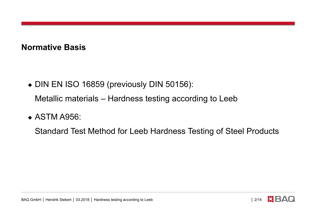## **Normative Basis**

- ◆ DIN EN ISO 16859 (previously DIN 50156): Metallic materials – Hardness testing according to Leeb
- ◆ ASTM A956:

Standard Test Method for Leeb Hardness Testing of Steel Products

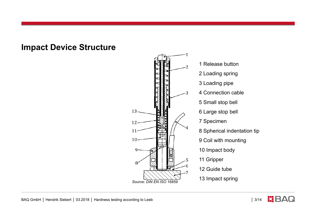## **Impact Device Structure**



8 Spherical indentation tip 9 Coil with mounting

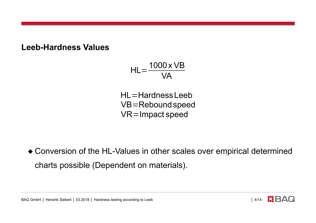**Leeb-Hardness Values**

$$
HL = \frac{1000 \times VB}{VA}
$$

HL=HardnessLeeb VB=Reboundspeed VR=Impact speed

 Conversion of the HL-Values in other scales over empirical determined charts possible (Dependent on materials).

BAQ GmbH | Hendrik Siebert | 03.2018 | Hardness testing according to Leeb │ 1999 | 4/14 | 4/14 | BAQ

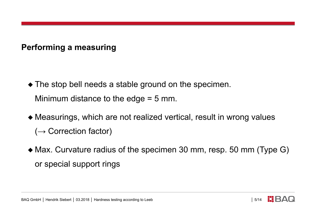**Performing a measuring**

- The stop bell needs a stable ground on the specimen. Minimum distance to the edge = 5 mm.
- Measurings, which are not realized vertical, result in wrong values  $(\rightarrow$  Correction factor)
- Max. Curvature radius of the specimen 30 mm, resp. 50 mm (Type G) or special support rings

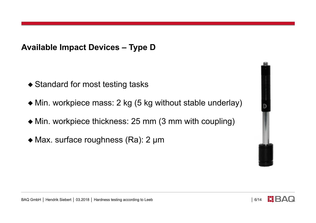**Available Impact Devices – Type D**

- ◆ Standard for most testing tasks
- Min. workpiece mass: 2 kg (5 kg without stable underlay)
- Min. workpiece thickness: 25 mm (3 mm with coupling)
- ◆ Max. surface roughness (Ra): 2 µm



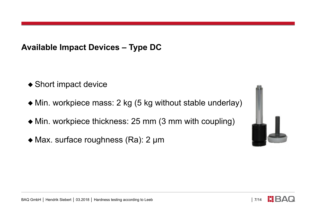**Available Impact Devices – Type DC**

- ◆ Short impact device
- Min. workpiece mass: 2 kg (5 kg without stable underlay)
- Min. workpiece thickness: 25 mm (3 mm with coupling)
- ◆ Max. surface roughness (Ra): 2 µm





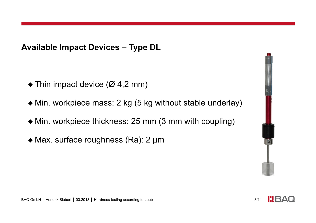**Available Impact Devices – Type DL**

- $\blacklozenge$  Thin impact device ( $\varnothing$  4,2 mm)
- Min. workpiece mass: 2 kg (5 kg without stable underlay)
- Min. workpiece thickness: 25 mm (3 mm with coupling)
- ◆ Max. surface roughness (Ra): 2 µm



BAQ GmbH | Hendrik Siebert | 03.2018 | Hardness testing according to Leeb │ 8/14

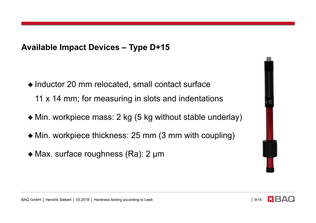**Available Impact Devices – Type D+15**

- ◆ Inductor 20 mm relocated, small contact surface 11 x 14 mm; for measuring in slots and indentations
- Min. workpiece mass: 2 kg (5 kg without stable underlay)
- Min. workpiece thickness: 25 mm (3 mm with coupling)
- ◆ Max. surface roughness (Ra): 2 µm





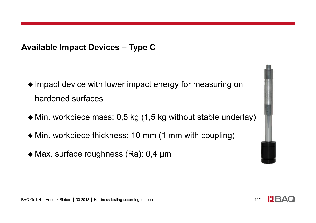**Available Impact Devices – Type C**

- $\bullet$  Impact device with lower impact energy for measuring on hardened surfaces
- Min. workpiece mass: 0,5 kg (1,5 kg without stable underlay)
- Min. workpiece thickness: 10 mm (1 mm with coupling)
- ◆ Max. surface roughness (Ra): 0,4 µm



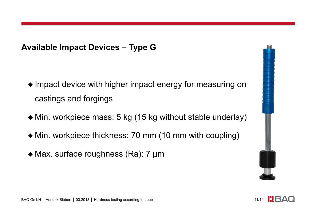**Available Impact Devices – Type G**

- $\bullet$  Impact device with higher impact energy for measuring on castings and forgings
- Min. workpiece mass: 5 kg (15 kg without stable underlay)
- Min. workpiece thickness: 70 mm (10 mm with coupling)
- ◆ Max. surface roughness (Ra): 7 µm





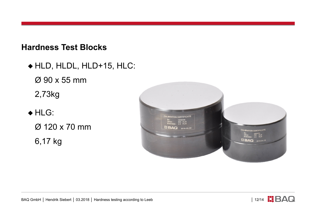**Hardness Test Blocks**

◆ HLD, HLDL, HLD+15, HLC: Ø 90 x 55 mm 2,73kg ◆ HLG:

Ø 120 x 70 mm 6,17 kg



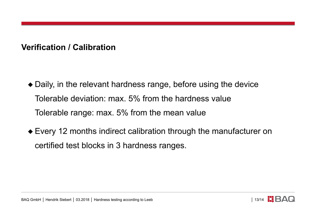**Verification / Calibration**

- Daily, in the relevant hardness range, before using the device Tolerable deviation: max. 5% from the hardness value Tolerable range: max. 5% from the mean value
- Every 12 months indirect calibration through the manufacturer on certified test blocks in 3 hardness ranges.